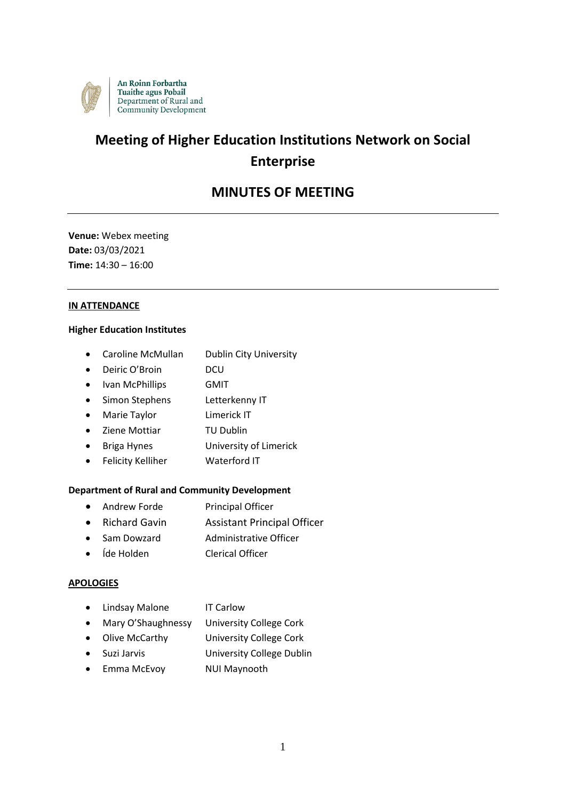

# **Meeting of Higher Education Institutions Network on Social Enterprise**

# **MINUTES OF MEETING**

**Venue:** Webex meeting **Date:** 03/03/2021 **Time:** 14:30 – 16:00

# **IN ATTENDANCE**

# **Higher Education Institutes**

- Caroline McMullan Dublin City University
- Deiric O'Broin DCU
- Ivan McPhillips **GMIT**
- Simon Stephens Letterkenny IT
- Marie Taylor Limerick IT
- Ziene Mottiar TU Dublin
- Briga Hynes University of Limerick
- Felicity Kelliher Waterford IT

# **Department of Rural and Community Development**

- Andrew Forde Principal Officer
- Richard Gavin Assistant Principal Officer
- Sam Dowzard Administrative Officer
- Íde Holden Clerical Officer

# **APOLOGIES**

- Lindsay Malone IT Carlow
- Mary O'Shaughnessy University College Cork
- Olive McCarthy University College Cork
- Suzi Jarvis University College Dublin
- Emma McEvoy NUI Maynooth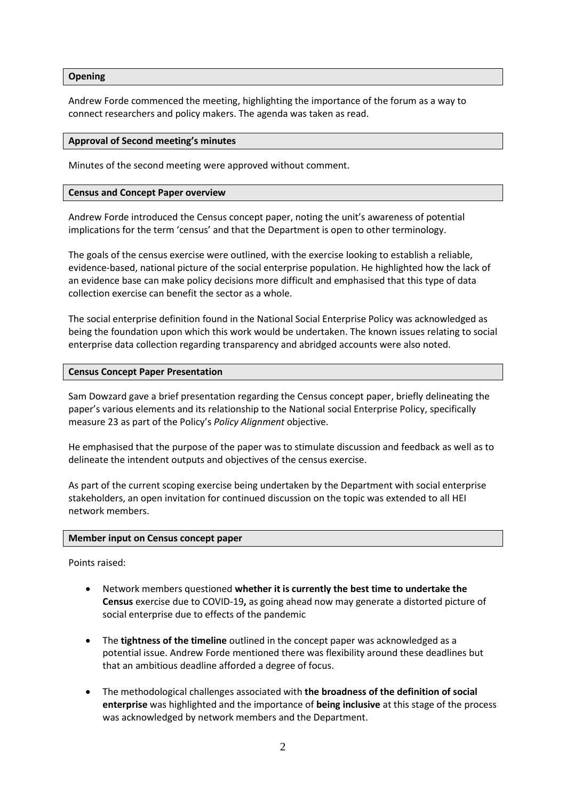#### **Opening**

Andrew Forde commenced the meeting, highlighting the importance of the forum as a way to connect researchers and policy makers. The agenda was taken as read.

#### **Approval of Second meeting's minutes**

Minutes of the second meeting were approved without comment.

### **Census and Concept Paper overview**

Andrew Forde introduced the Census concept paper, noting the unit's awareness of potential implications for the term 'census' and that the Department is open to other terminology.

The goals of the census exercise were outlined, with the exercise looking to establish a reliable, evidence-based, national picture of the social enterprise population. He highlighted how the lack of an evidence base can make policy decisions more difficult and emphasised that this type of data collection exercise can benefit the sector as a whole.

The social enterprise definition found in the National Social Enterprise Policy was acknowledged as being the foundation upon which this work would be undertaken. The known issues relating to social enterprise data collection regarding transparency and abridged accounts were also noted.

#### **Census Concept Paper Presentation**

Sam Dowzard gave a brief presentation regarding the Census concept paper, briefly delineating the paper's various elements and its relationship to the National social Enterprise Policy, specifically measure 23 as part of the Policy's *Policy Alignment* objective.

He emphasised that the purpose of the paper was to stimulate discussion and feedback as well as to delineate the intendent outputs and objectives of the census exercise.

As part of the current scoping exercise being undertaken by the Department with social enterprise stakeholders, an open invitation for continued discussion on the topic was extended to all HEI network members.

# **Member input on Census concept paper**

Points raised:

- Network members questioned **whether it is currently the best time to undertake the Census** exercise due to COVID-19**,** as going ahead now may generate a distorted picture of social enterprise due to effects of the pandemic
- The **tightness of the timeline** outlined in the concept paper was acknowledged as a potential issue. Andrew Forde mentioned there was flexibility around these deadlines but that an ambitious deadline afforded a degree of focus.
- The methodological challenges associated with **the broadness of the definition of social enterprise** was highlighted and the importance of **being inclusive** at this stage of the process was acknowledged by network members and the Department.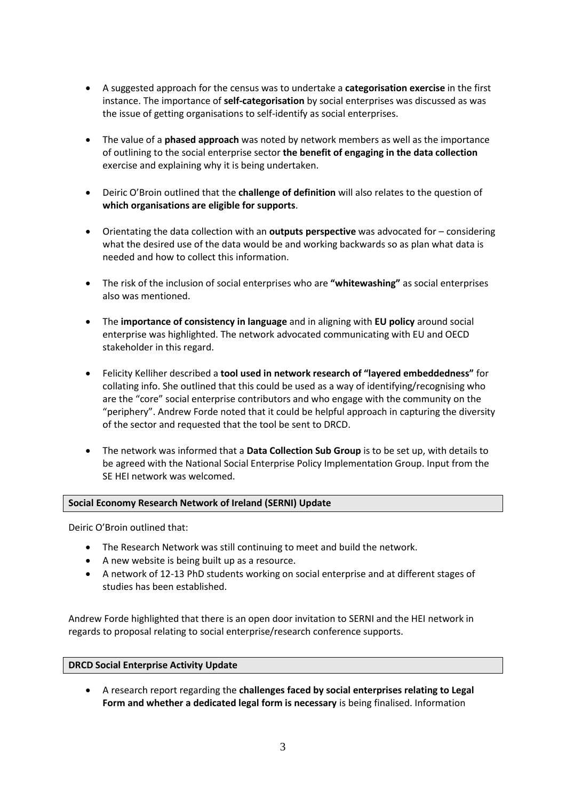- A suggested approach for the census was to undertake a **categorisation exercise** in the first instance. The importance of **self-categorisation** by social enterprises was discussed as was the issue of getting organisations to self-identify as social enterprises.
- The value of a **phased approach** was noted by network members as well as the importance of outlining to the social enterprise sector **the benefit of engaging in the data collection** exercise and explaining why it is being undertaken.
- Deiric O'Broin outlined that the **challenge of definition** will also relates to the question of **which organisations are eligible for supports**.
- Orientating the data collection with an **outputs perspective** was advocated for considering what the desired use of the data would be and working backwards so as plan what data is needed and how to collect this information.
- The risk of the inclusion of social enterprises who are **"whitewashing"** as social enterprises also was mentioned.
- The **importance of consistency in language** and in aligning with **EU policy** around social enterprise was highlighted. The network advocated communicating with EU and OECD stakeholder in this regard.
- Felicity Kelliher described a **tool used in network research of "layered embeddedness"** for collating info. She outlined that this could be used as a way of identifying/recognising who are the "core" social enterprise contributors and who engage with the community on the "periphery". Andrew Forde noted that it could be helpful approach in capturing the diversity of the sector and requested that the tool be sent to DRCD.
- The network was informed that a **Data Collection Sub Group** is to be set up, with details to be agreed with the National Social Enterprise Policy Implementation Group. Input from the SE HEI network was welcomed.

# **Social Economy Research Network of Ireland (SERNI) Update**

Deiric O'Broin outlined that:

- The Research Network was still continuing to meet and build the network.
- A new website is being built up as a resource.
- A network of 12-13 PhD students working on social enterprise and at different stages of studies has been established.

Andrew Forde highlighted that there is an open door invitation to SERNI and the HEI network in regards to proposal relating to social enterprise/research conference supports.

# **DRCD Social Enterprise Activity Update**

 A research report regarding the **challenges faced by social enterprises relating to Legal Form and whether a dedicated legal form is necessary** is being finalised. Information